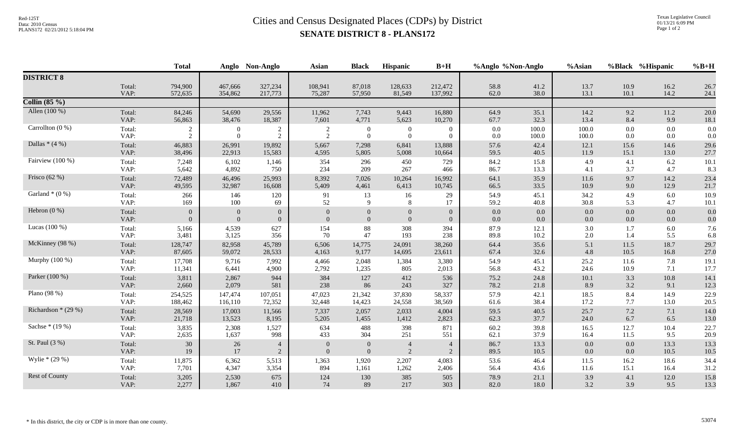## Red-125T<br>Data: 2010 Census<br>PLANS172 02/21/2012 5:18:04 PM **SENATE DISTRICT 8 - PLANS172**

|                                  |                | <b>Total</b>     |                  | Anglo Non-Anglo  | <b>Asian</b>   | <b>Black</b>      | Hispanic                         | $B+H$            | %Anglo %Non-Anglo |              | %Asian       |              | %Black %Hispanic | $%B+H$       |
|----------------------------------|----------------|------------------|------------------|------------------|----------------|-------------------|----------------------------------|------------------|-------------------|--------------|--------------|--------------|------------------|--------------|
| <b>DISTRICT 8</b>                |                |                  |                  |                  |                |                   |                                  |                  |                   |              |              |              |                  |              |
|                                  | Total:         | 794,900          | 467,666          | 327,234          | 108,941        | 87,018            | 128,633                          | 212,472          | 58.8              | 41.2         | 13.7         | 10.9         | 16.2             | 26.7         |
| Collin $(85\%)$                  | VAP:           | 572,635          | 354,862          | 217,773          | 75,287         | 57,950            | 81,549                           | 137,992          | 62.0              | 38.0         | 13.1         | 10.1         | 14.2             | 24.1         |
| Allen (100 %)                    | Total:         | 84,246           | 54,690           | 29,556           | 11,962         | 7,743             | 9,443                            | 16,880           | 64.9              | 35.1         | 14.2         | 9.2          | 11.2             | 20.0         |
|                                  | VAP:           | 56,863           | 38,476           | 18,387           | 7,601          | 4,771             | 5,623                            | 10,270           | 67.7              | 32.3         | 13.4         | 8.4          | 9.9              | 18.1         |
| Carrollton (0 %)                 | Total:         | $\overline{2}$   | $\mathbf{0}$     | $\boldsymbol{2}$ | $\overline{c}$ | $\overline{0}$    | $\overline{0}$                   | $\overline{0}$   | $0.0\,$           | 100.0        | 100.0        | 0.0          | $0.0\,$          | 0.0          |
|                                  | VAP:           | 2                | $\Omega$         | 2                | 2              | $\overline{0}$    | $\overline{0}$                   | $\overline{0}$   | $0.0\,$           | 100.0        | 100.0        | 0.0          | 0.0              | 0.0          |
| Dallas $*(4%)$                   | Total:         | 46,883           | 26,991           | 19,892           | 5,667          | 7,298             | 6,841                            | 13,888           | 57.6              | 42.4         | 12.1         | 15.6         | 14.6             | 29.6         |
| Fairview (100 %)                 | VAP:           | 38,496<br>7,248  | 22,913           | 15,583<br>1,146  | 4,595          | 5,805             | 5,008<br>450                     | 10,664<br>729    | 59.5<br>84.2      | 40.5<br>15.8 | 11.9<br>4.9  | 15.1<br>4.1  | 13.0             | 27.7         |
|                                  | Total:<br>VAP: | 5,642            | 6,102<br>4,892   | 750              | 354<br>234     | 296<br>209        | 267                              | 466              | 86.7              | 13.3         | 4.1          | 3.7          | 6.2<br>4.7       | 10.1<br>8.3  |
| Frisco $(62%)$                   | Total:         | 72,489           | 46,496           | 25,993           | 8,392          | 7,026             | 10,264                           | 16,992           | 64.1              | 35.9         | 11.6         | 9.7          | 14.2             | 23.4         |
|                                  | VAP:           | 49,595           | 32,987           | 16,608           | 5,409          | 4,461             | 6,413                            | 10,745           | 66.5              | 33.5         | 10.9         | 9.0          | 12.9             | 21.7         |
| Garland $*(0\%)$                 | Total:<br>VAP: | 266<br>169       | 146<br>100       | 120<br>69        | 91<br>52       | 13<br>$\mathbf Q$ | 16<br>8                          | 29<br>17         | 54.9<br>59.2      | 45.1<br>40.8 | 34.2<br>30.8 | 4.9<br>5.3   | 6.0<br>4.7       | 10.9<br>10.1 |
| Hebron $(0\%)$                   | Total:         | $\overline{0}$   | $\overline{0}$   | $\overline{0}$   | $\theta$       | $\overline{0}$    |                                  | $\boldsymbol{0}$ | 0.0               | 0.0          | 0.0          | 0.0          | $0.0\,$          | 0.0          |
|                                  | VAP:           | $\Omega$         | $\overline{0}$   | $\Omega$         | $\overline{0}$ | $\overline{0}$    | $\overline{0}$<br>$\overline{0}$ | $\mathbf{0}$     | $0.0\,$           | 0.0          | 0.0          | 0.0          | 0.0              | 0.0          |
| Lucas (100 %)                    | Total:         | 5,166            | 4,539            | 627              | 154            | $88\,$            | 308                              | 394              | 87.9              | 12.1         | 3.0          | 1.7          | 6.0              | 7.6          |
|                                  | VAP:           | 3,481            | 3,125            | 356              | 70             | 47                | 193                              | 238              | 89.8              | 10.2         | $2.0\,$      | 1.4          | 5.5              | 6.8          |
| McKinney (98 %)                  | Total:<br>VAP: | 128,747          | 82,958           | 45,789           | 6,506          | 14,775            | 24,091                           | 38,260           | 64.4              | 35.6         | 5.1          | 11.5         | 18.7             | 29.7         |
| Murphy (100 %)                   | Total:         | 87,605<br>17,708 | 59,072<br>9,716  | 28,533<br>7,992  | 4,163<br>4,466 | 9,177<br>2,048    | 14,695<br>1,384                  | 23,611<br>3,380  | 67.4<br>54.9      | 32.6<br>45.1 | 4.8<br>25.2  | 10.5<br>11.6 | 16.8<br>7.8      | 27.0<br>19.1 |
|                                  | VAP:           | 11,341           | 6,441            | 4,900            | 2,792          | 1,235             | 805                              | 2,013            | 56.8              | 43.2         | 24.6         | 10.9         | 7.1              | 17.7         |
| Parker (100 %)                   | Total:         | 3,811            | 2,867            | 944              | 384            | 127               | 412                              | 536              | 75.2              | 24.8         | 10.1         | 3.3          | 10.8             | 14.1         |
|                                  | VAP:           | 2,660            | 2,079            | 581              | 238            | 86                | 243                              | 327              | 78.2              | 21.8         | 8.9          | 3.2          | 9.1              | 12.3         |
| Plano (98 %)                     | Total:         | 254,525          | 147,474          | 107,051          | 47,023         | 21,342            | 37,830                           | 58,337           | 57.9              | 42.1         | 18.5         | 8.4          | 14.9             | 22.9         |
| Richardson $*(29\%)$             | VAP:           | 188,462          | 116,110          | 72,352           | 32,448         | 14,423            | 24,558                           | 38,569<br>4,004  | 61.6              | 38.4<br>40.5 | 17.2         | 7.7          | 13.0             | 20.5         |
|                                  | Total:<br>VAP: | 28,569<br>21,718 | 17,003<br>13,523 | 11,566<br>8,195  | 7,337<br>5,205 | 2,057<br>1,455    | 2,033<br>1,412                   | 2,823            | 59.5<br>62.3      | 37.7         | 25.7<br>24.0 | 7.2<br>6.7   | 7.1<br>6.5       | 14.0<br>13.0 |
| Sachse * (19 %)                  | Total:         | 3,835            | 2,308            | 1,527            | 634            | 488               | 398                              | 871              | 60.2              | 39.8         | 16.5         | 12.7         | 10.4             | 22.7         |
|                                  | VAP:           | 2,635            | 1,637            | 998              | 433            | 304               | 251                              | 551              | 62.1              | 37.9         | 16.4         | 11.5         | 9.5              | 20.9         |
| St. Paul (3 %)<br>Wylie * (29 %) | Total:         | $30\,$           | 26               | $\overline{4}$   | $\mathbf{0}$   | $\overline{0}$    | $\overline{4}$                   | $\overline{4}$   | 86.7              | 13.3         | 0.0          | 0.0          | 13.3             | 13.3         |
|                                  | VAP:           | 19               | 17               | 2                | $\Omega$       | $\Omega$          | 2                                | $\overline{2}$   | 89.5              | 10.5         | 0.0          | 0.0          | 10.5             | 10.5         |
|                                  | Total:<br>VAP: | 11,875<br>7,701  | 6,362<br>4,347   | 5,513<br>3,354   | 1,363<br>894   | 1,920<br>1,161    | 2,207<br>1,262                   | 4,083<br>2,406   | 53.6<br>56.4      | 46.4<br>43.6 | 11.5<br>11.6 | 16.2<br>15.1 | 18.6<br>16.4     | 34.4<br>31.2 |
| Rest of County                   | Total:         | 3,205            | 2,530            | 675              | 124            | 130               | 385                              | 505              | 78.9              | 21.1         | 3.9          | 4.1          | $12.0\,$         | 15.8         |
|                                  | VAP:           | 2,277            | 1,867            | 410              | 74             | 89                | 217                              | 303              | 82.0              | 18.0         | 3.2          | 3.9          | 9.5              | 13.3         |